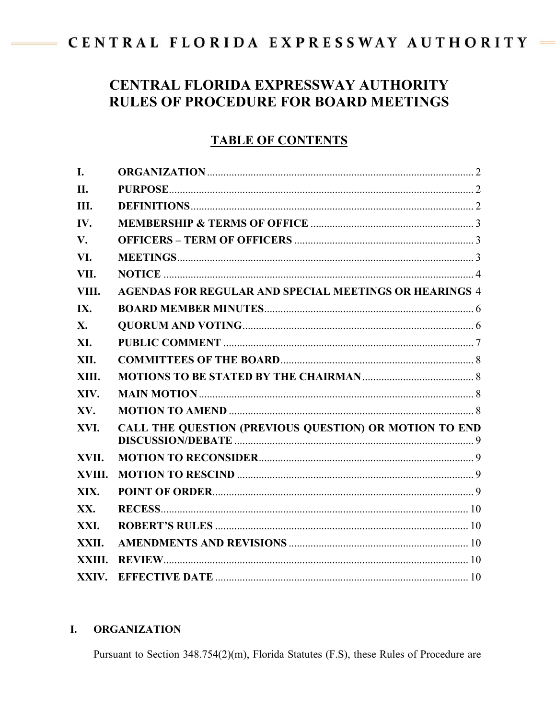# <span id="page-0-0"></span>CENTRAL FLORIDA EXPRESSWAY AUTHORITY

## **CENTRAL FLORIDA EXPRESSWAY AUTHORITY RULES OF PROCEDURE FOR BOARD MEETINGS**

#### **TABLE OF CONTENTS**

| I.         |                                                               |  |
|------------|---------------------------------------------------------------|--|
| <b>II.</b> |                                                               |  |
| Ш.         |                                                               |  |
| IV.        |                                                               |  |
| V.         |                                                               |  |
| VI.        |                                                               |  |
| VII.       |                                                               |  |
| VIII.      | <b>AGENDAS FOR REGULAR AND SPECIAL MEETINGS OR HEARINGS 4</b> |  |
| IX.        |                                                               |  |
| X.         |                                                               |  |
| XI.        |                                                               |  |
| XII.       |                                                               |  |
| XIII.      |                                                               |  |
| XIV.       |                                                               |  |
| XV.        |                                                               |  |
| XVI.       | CALL THE QUESTION (PREVIOUS QUESTION) OR MOTION TO END        |  |
| XVII.      |                                                               |  |
| XVIII.     |                                                               |  |
| XIX.       |                                                               |  |
| XX.        |                                                               |  |
| XXI.       |                                                               |  |
| XXII.      |                                                               |  |
| XXIII.     |                                                               |  |
| XXIV.      |                                                               |  |

#### I. **ORGANIZATION**

Pursuant to Section 348.754(2)(m), Florida Statutes (F.S), these Rules of Procedure are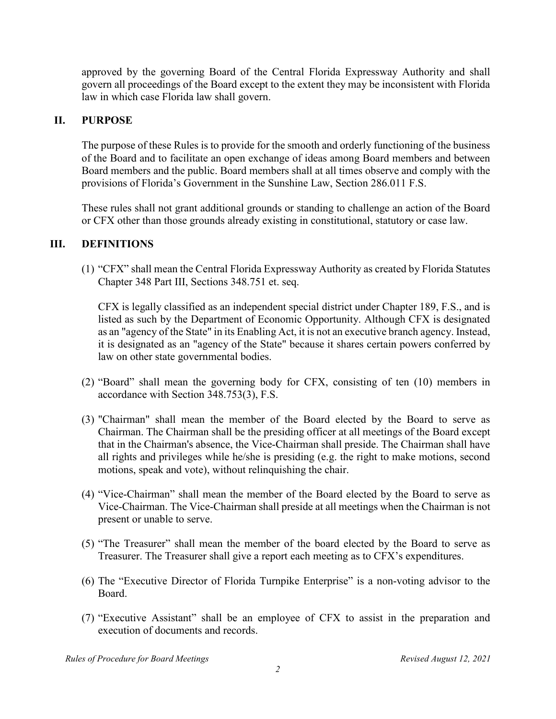approved by the governing Board of the Central Florida Expressway Authority and shall govern all proceedings of the Board except to the extent they may be inconsistent with Florida law in which case Florida law shall govern.

#### **II. PURPOSE**

<span id="page-1-0"></span>The purpose of these Rules is to provide for the smooth and orderly functioning of the business of the Board and to facilitate an open exchange of ideas among Board members and between Board members and the public. Board members shall at all times observe and comply with the provisions of Florida's Government in the Sunshine Law, Section 286.011 F.S.

These rules shall not grant additional grounds or standing to challenge an action of the Board or CFX other than those grounds already existing in constitutional, statutory or case law.

#### **III. DEFINITIONS**

<span id="page-1-1"></span>(1) "CFX" shall mean the Central Florida Expressway Authority as created by Florida Statutes Chapter 348 Part III, Sections 348.751 et. seq.

CFX is legally classified as an independent special district under Chapter 189, F.S., and is listed as such by the Department of Economic Opportunity. Although CFX is designated as an "agency of the State" in its Enabling Act, it is not an executive branch agency. Instead, it is designated as an "agency of the State" because it shares certain powers conferred by law on other state governmental bodies.

- (2) "Board" shall mean the governing body for CFX, consisting of ten (10) members in accordance with Section 348.753(3), F.S.
- (3) "Chairman" shall mean the member of the Board elected by the Board to serve as Chairman. The Chairman shall be the presiding officer at all meetings of the Board except that in the Chairman's absence, the Vice-Chairman shall preside. The Chairman shall have all rights and privileges while he/she is presiding (e.g. the right to make motions, second motions, speak and vote), without relinquishing the chair.
- (4) "Vice-Chairman" shall mean the member of the Board elected by the Board to serve as Vice-Chairman. The Vice-Chairman shall preside at all meetings when the Chairman is not present or unable to serve.
- (5) "The Treasurer" shall mean the member of the board elected by the Board to serve as Treasurer. The Treasurer shall give a report each meeting as to CFX's expenditures.
- (6) The "Executive Director of Florida Turnpike Enterprise" is a non-voting advisor to the Board.
- (7) "Executive Assistant" shall be an employee of CFX to assist in the preparation and execution of documents and records.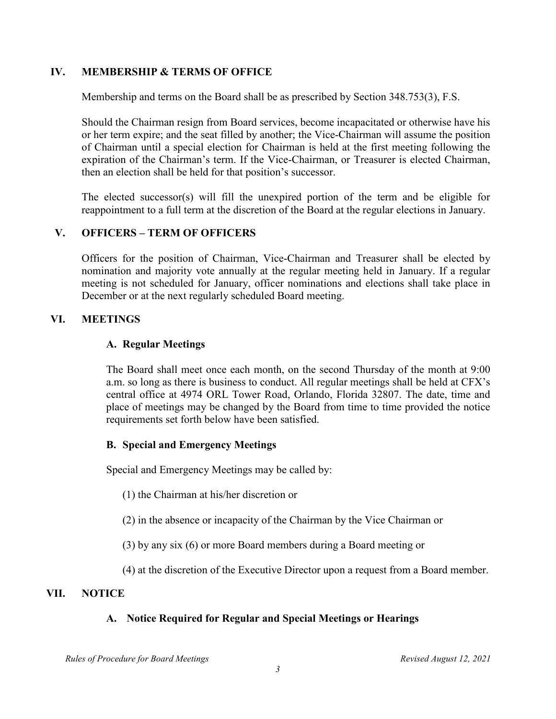#### **IV. MEMBERSHIP & TERMS OF OFFICE**

<span id="page-2-0"></span>Membership and terms on the Board shall be as prescribed by Section 348.753(3), F.S.

Should the Chairman resign from Board services, become incapacitated or otherwise have his or her term expire; and the seat filled by another; the Vice-Chairman will assume the position of Chairman until a special election for Chairman is held at the first meeting following the expiration of the Chairman's term. If the Vice-Chairman, or Treasurer is elected Chairman, then an election shall be held for that position's successor.

The elected successor(s) will fill the unexpired portion of the term and be eligible for reappointment to a full term at the discretion of the Board at the regular elections in January.

#### **V. OFFICERS – TERM OF OFFICERS**

<span id="page-2-1"></span>Officers for the position of Chairman, Vice-Chairman and Treasurer shall be elected by nomination and majority vote annually at the regular meeting held in January. If a regular meeting is not scheduled for January, officer nominations and elections shall take place in December or at the next regularly scheduled Board meeting.

#### **VI. MEETINGS**

#### <span id="page-2-2"></span>**A. Regular Meetings**

The Board shall meet once each month, on the second Thursday of the month at 9:00 a.m. so long as there is business to conduct. All regular meetings shall be held at CFX's central office at 4974 ORL Tower Road, Orlando, Florida 32807. The date, time and place of meetings may be changed by the Board from time to time provided the notice requirements set forth below have been satisfied.

#### **B. Special and Emergency Meetings**

Special and Emergency Meetings may be called by:

- (1) the Chairman at his/her discretion or
- (2) in the absence or incapacity of the Chairman by the Vice Chairman or
- (3) by any six (6) or more Board members during a Board meeting or
- (4) at the discretion of the Executive Director upon a request from a Board member.

#### **VII. NOTICE**

#### **A. Notice Required for Regular and Special Meetings or Hearings**

*Rules of Procedure for Board Meetings Revised August 12, 2021*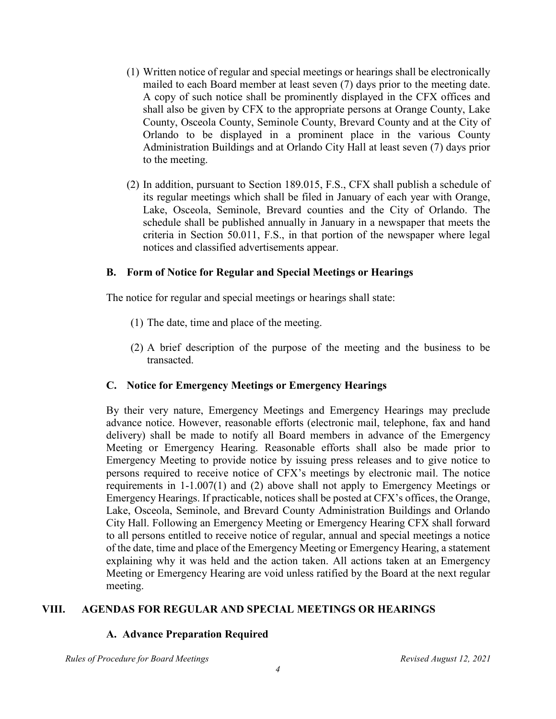- <span id="page-3-0"></span>(1) Written notice of regular and special meetings or hearings shall be electronically mailed to each Board member at least seven (7) days prior to the meeting date. A copy of such notice shall be prominently displayed in the CFX offices and shall also be given by CFX to the appropriate persons at Orange County, Lake County, Osceola County, Seminole County, Brevard County and at the City of Orlando to be displayed in a prominent place in the various County Administration Buildings and at Orlando City Hall at least seven (7) days prior to the meeting.
- (2) In addition, pursuant to Section 189.015, F.S., CFX shall publish a schedule of its regular meetings which shall be filed in January of each year with Orange, Lake, Osceola, Seminole, Brevard counties and the City of Orlando. The schedule shall be published annually in January in a newspaper that meets the criteria in Section 50.011, F.S., in that portion of the newspaper where legal notices and classified advertisements appear.

#### **B. Form of Notice for Regular and Special Meetings or Hearings**

The notice for regular and special meetings or hearings shall state:

- (1) The date, time and place of the meeting.
- (2) A brief description of the purpose of the meeting and the business to be transacted.

#### **C. Notice for Emergency Meetings or Emergency Hearings**

By their very nature, Emergency Meetings and Emergency Hearings may preclude advance notice. However, reasonable efforts (electronic mail, telephone, fax and hand delivery) shall be made to notify all Board members in advance of the Emergency Meeting or Emergency Hearing. Reasonable efforts shall also be made prior to Emergency Meeting to provide notice by issuing press releases and to give notice to persons required to receive notice of CFX's meetings by electronic mail. The notice requirements in 1-1.007(1) and (2) above shall not apply to Emergency Meetings or Emergency Hearings. If practicable, notices shall be posted at CFX's offices, the Orange, Lake, Osceola, Seminole, and Brevard County Administration Buildings and Orlando City Hall. Following an Emergency Meeting or Emergency Hearing CFX shall forward to all persons entitled to receive notice of regular, annual and special meetings a notice of the date, time and place of the Emergency Meeting or Emergency Hearing, a statement explaining why it was held and the action taken. All actions taken at an Emergency Meeting or Emergency Hearing are void unless ratified by the Board at the next regular meeting.

#### **VIII. AGENDAS FOR REGULAR AND SPECIAL MEETINGS OR HEARINGS**

#### **A. Advance Preparation Required**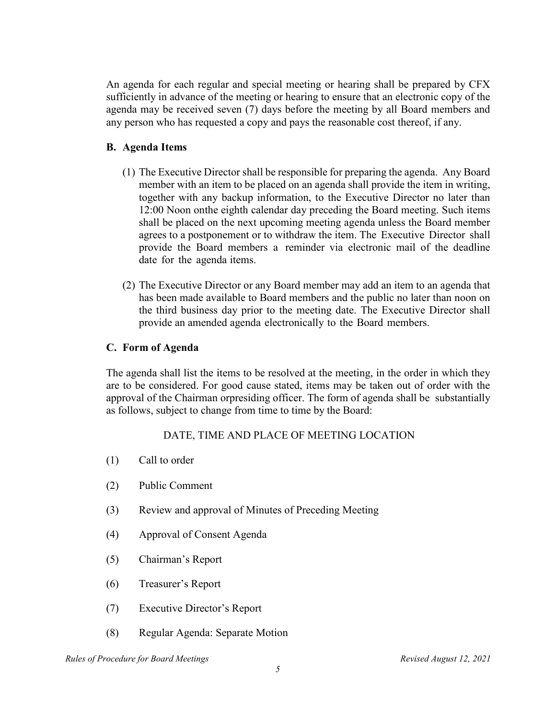<span id="page-4-0"></span>An agenda for each regular and special meeting or hearing shall be prepared by CFX sufficiently in advance of the meeting or hearing to ensure that an electronic copy of the agenda may be received seven (7) days before the meeting by all Board members and any person who has requested a copy and pays the reasonable cost thereof, if any.

#### **B. Agenda Items**

- (1) The Executive Director shall be responsible for preparing the agenda. Any Board member with an item to be placed on an agenda shall provide the item in writing, together with any backup information, to the Executive Director no later than 12:00 Noon onthe eighth calendar day preceding the Board meeting. Such items shall be placed on the next upcoming meeting agenda unless the Board member agrees to a postponement or to withdraw the item. The Executive Director shall provide the Board members a reminder via electronic mail of the deadline date for the agenda items.
- (2) The Executive Director or any Board member may add an item to an agenda that has been made available to Board members and the public no later than noon on the third business day prior to the meeting date. The Executive Director shall provide an amended agenda electronically to the Board members.

#### **C. Form of Agenda**

The agenda shall list the items to be resolved at the meeting, in the order in which they are to be considered. For good cause stated, items may be taken out of order with the approval of the Chairman or presiding officer. The form of agenda shall be substantially as follows, subject to change from time to time by the Board:

#### DATE, TIME AND PLACE OF MEETING LOCATION

- (1) Call to order
- (2) Public Comment
- (3) Review and approval of Minutes of Preceding Meeting
- (4) Approval of Consent Agenda
- (5) Chairman's Report
- (6) Treasurer's Report
- (7) Executive Director's Report
- (8) Regular Agenda: Separate Motion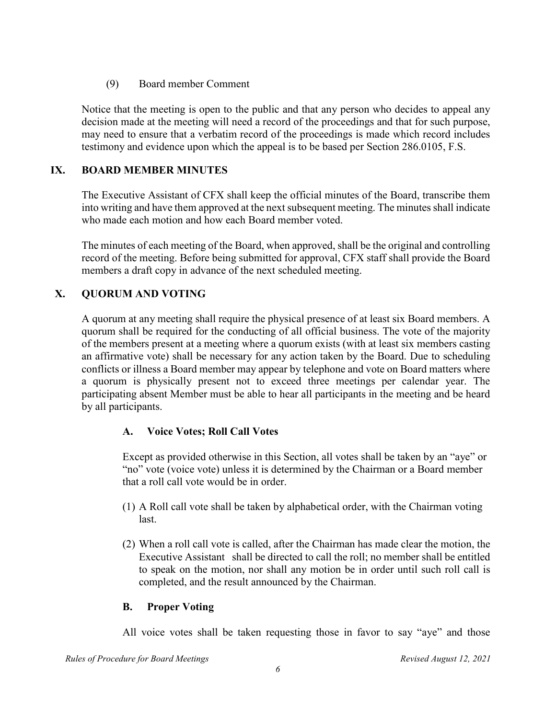(9) Board member Comment

Notice that the meeting is open to the public and that any person who decides to appeal any decision made at the meeting will need a record of the proceedings and that for such purpose, may need to ensure that a verbatim record of the proceedings is made which record includes testimony and evidence upon which the appeal is to be based per Section 286.0105, F.S.

#### **IX. BOARD MEMBER MINUTES**

<span id="page-5-0"></span>The Executive Assistant of CFX shall keep the official minutes of the Board, transcribe them into writing and have them approved at the next subsequent meeting. The minutes shall indicate who made each motion and how each Board member voted.

The minutes of each meeting of the Board, when approved, shall be the original and controlling record of the meeting. Before being submitted for approval, CFX staff shall provide the Board members a draft copy in advance of the next scheduled meeting.

### **X. QUORUM AND VOTING**

<span id="page-5-1"></span>A quorum at any meeting shall require the physical presence of at least six Board members. A quorum shall be required for the conducting of all official business. The vote of the majority of the members present at a meeting where a quorum exists (with at least six members casting an affirmative vote) shall be necessary for any action taken by the Board. Due to scheduling conflicts or illness a Board member may appear by telephone and vote on Board matters where a quorum is physically present not to exceed three meetings per calendar year. The participating absent Member must be able to hear all participants in the meeting and be heard by all participants.

#### **A. Voice Votes; Roll Call Votes**

Except as provided otherwise in this Section, all votes shall be taken by an "aye" or "no" vote (voice vote) unless it is determined by the Chairman or a Board member that a roll call vote would be in order.

- (1) A Roll call vote shall be taken by alphabetical order, with the Chairman voting last.
- (2) When a roll call vote is called, after the Chairman has made clear the motion, the Executive Assistant shall be directed to call the roll; no member shall be entitled to speak on the motion, nor shall any motion be in order until such roll call is completed, and the result announced by the Chairman.

#### **B. Proper Voting**

All voice votes shall be taken requesting those in favor to say "aye" and those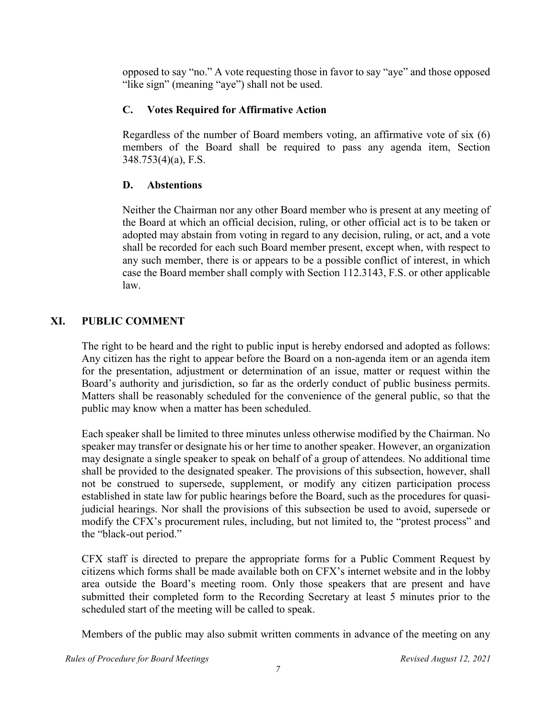opposed to say "no." A vote requesting those in favor to say "aye" and those opposed "like sign" (meaning "aye") shall not be used.

#### **C. Votes Required for Affirmative Action**

Regardless of the number of Board members voting, an affirmative vote of six (6) members of the Board shall be required to pass any agenda item, Section 348.753(4)(a), F.S.

#### **D. Abstentions**

Neither the Chairman nor any other Board member who is present at any meeting of the Board at which an official decision, ruling, or other official act is to be taken or adopted may abstain from voting in regard to any decision, ruling, or act, and a vote shall be recorded for each such Board member present, except when, with respect to any such member, there is or appears to be a possible conflict of interest, in which case the Board member shall comply with Section 112.3143, F.S. or other applicable law.

#### **XI. PUBLIC COMMENT**

<span id="page-6-0"></span>The right to be heard and the right to public input is hereby endorsed and adopted as follows: Any citizen has the right to appear before the Board on a non-agenda item or an agenda item for the presentation, adjustment or determination of an issue, matter or request within the Board's authority and jurisdiction, so far as the orderly conduct of public business permits. Matters shall be reasonably scheduled for the convenience of the general public, so that the public may know when a matter has been scheduled.

Each speaker shall be limited to three minutes unless otherwise modified by the Chairman. No speaker may transfer or designate his or her time to another speaker. However, an organization may designate a single speaker to speak on behalf of a group of attendees. No additional time shall be provided to the designated speaker. The provisions of this subsection, however, shall not be construed to supersede, supplement, or modify any citizen participation process established in state law for public hearings before the Board, such as the procedures for quasijudicial hearings. Nor shall the provisions of this subsection be used to avoid, supersede or modify the CFX's procurement rules, including, but not limited to, the "protest process" and the "black-out period."

CFX staff is directed to prepare the appropriate forms for a Public Comment Request by citizens which forms shall be made available both on CFX's internet website and in the lobby area outside the Board's meeting room. Only those speakers that are present and have submitted their completed form to the Recording Secretary at least 5 minutes prior to the scheduled start of the meeting will be called to speak.

Members of the public may also submit written comments in advance of the meeting on any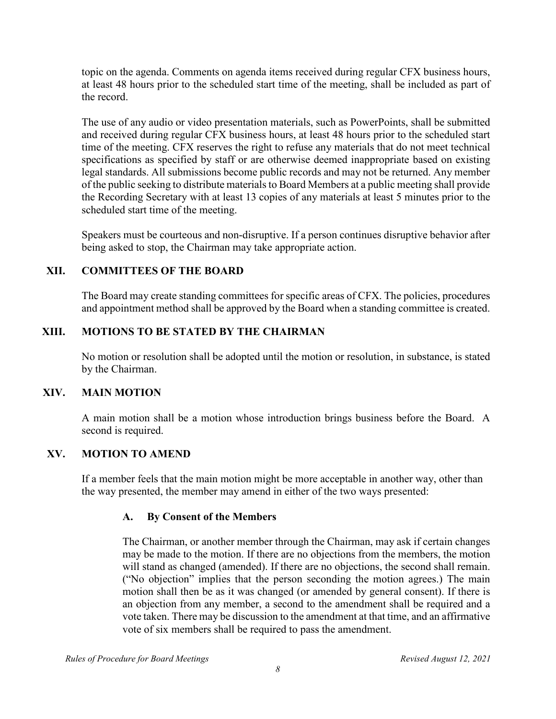topic on the agenda. Comments on agenda items received during regular CFX business hours, at least 48 hours prior to the scheduled start time of the meeting, shall be included as part of the record.

The use of any audio or video presentation materials, such as PowerPoints, shall be submitted and received during regular CFX business hours, at least 48 hours prior to the scheduled start time of the meeting. CFX reserves the right to refuse any materials that do not meet technical specifications as specified by staff or are otherwise deemed inappropriate based on existing legal standards. All submissions become public records and may not be returned. Any member of the public seeking to distribute materials to Board Members at a public meeting shall provide the Recording Secretary with at least 13 copies of any materials at least 5 minutes prior to the scheduled start time of the meeting.

Speakers must be courteous and non-disruptive. If a person continues disruptive behavior after being asked to stop, the Chairman may take appropriate action.

#### **XII. COMMITTEES OF THE BOARD**

<span id="page-7-0"></span>The Board may create standing committees for specific areas of CFX. The policies, procedures and appointment method shall be approved by the Board when a standing committee is created.

#### **XIII. MOTIONS TO BE STATED BY THE CHAIRMAN**

<span id="page-7-1"></span>No motion or resolution shall be adopted until the motion or resolution, in substance, is stated by the Chairman.

#### **XIV. MAIN MOTION**

<span id="page-7-2"></span>A main motion shall be a motion whose introduction brings business before the Board. A second is required.

#### **XV. MOTION TO AMEND**

<span id="page-7-3"></span>If a member feels that the main motion might be more acceptable in another way, other than the way presented, the member may amend in either of the two ways presented:

#### **A. By Consent of the Members**

The Chairman, or another member through the Chairman, may ask if certain changes may be made to the motion. If there are no objections from the members, the motion will stand as changed (amended). If there are no objections, the second shall remain. ("No objection" implies that the person seconding the motion agrees.) The main motion shall then be as it was changed (or amended by general consent). If there is an objection from any member, a second to the amendment shall be required and a vote taken. There may be discussion to the amendment at that time, and an affirmative vote of six members shall be required to pass the amendment.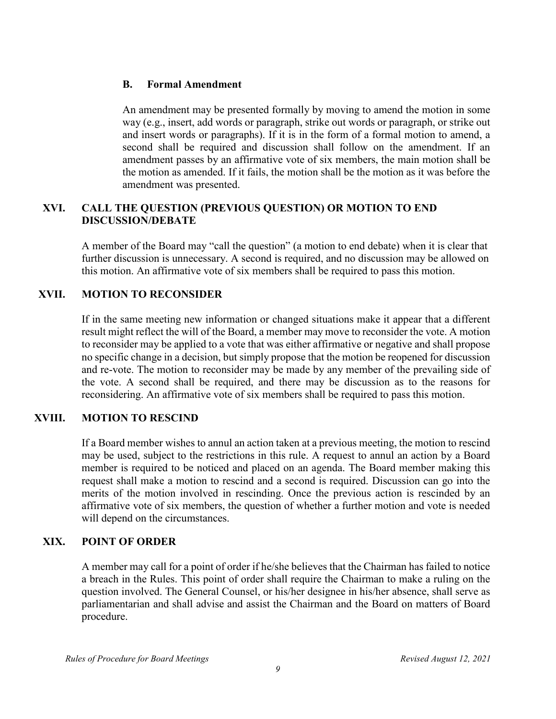#### **B. Formal Amendment**

An amendment may be presented formally by moving to amend the motion in some way (e.g., insert, add words or paragraph, strike out words or paragraph, or strike out and insert words or paragraphs). If it is in the form of a formal motion to amend, a second shall be required and discussion shall follow on the amendment. If an amendment passes by an affirmative vote of six members, the main motion shall be the motion as amended. If it fails, the motion shall be the motion as it was before the amendment was presented.

#### **XVI. CALL THE QUESTION (PREVIOUS QUESTION) OR MOTION TO END DISCUSSION/DEBATE**

<span id="page-8-0"></span>A member of the Board may "call the question" (a motion to end debate) when it is clear that further discussion is unnecessary. A second is required, and no discussion may be allowed on this motion. An affirmative vote of six members shall be required to pass this motion.

#### **XVII. MOTION TO RECONSIDER**

<span id="page-8-1"></span>If in the same meeting new information or changed situations make it appear that a different result might reflect the will of the Board, a member may move to reconsider the vote. A motion to reconsider may be applied to a vote that was either affirmative or negative and shall propose no specific change in a decision, but simply propose that the motion be reopened for discussion and re-vote. The motion to reconsider may be made by any member of the prevailing side of the vote. A second shall be required, and there may be discussion as to the reasons for reconsidering. An affirmative vote of six members shall be required to pass this motion.

#### **XVIII. MOTION TO RESCIND**

<span id="page-8-2"></span>If a Board member wishes to annul an action taken at a previous meeting, the motion to rescind may be used, subject to the restrictions in this rule. A request to annul an action by a Board member is required to be noticed and placed on an agenda. The Board member making this request shall make a motion to rescind and a second is required. Discussion can go into the merits of the motion involved in rescinding. Once the previous action is rescinded by an affirmative vote of six members, the question of whether a further motion and vote is needed will depend on the circumstances.

#### **XIX. POINT OF ORDER**

<span id="page-8-3"></span>A member may call for a point of order if he/she believes that the Chairman has failed to notice a breach in the Rules. This point of order shall require the Chairman to make a ruling on the question involved. The General Counsel, or his/her designee in his/her absence, shall serve as parliamentarian and shall advise and assist the Chairman and the Board on matters of Board procedure.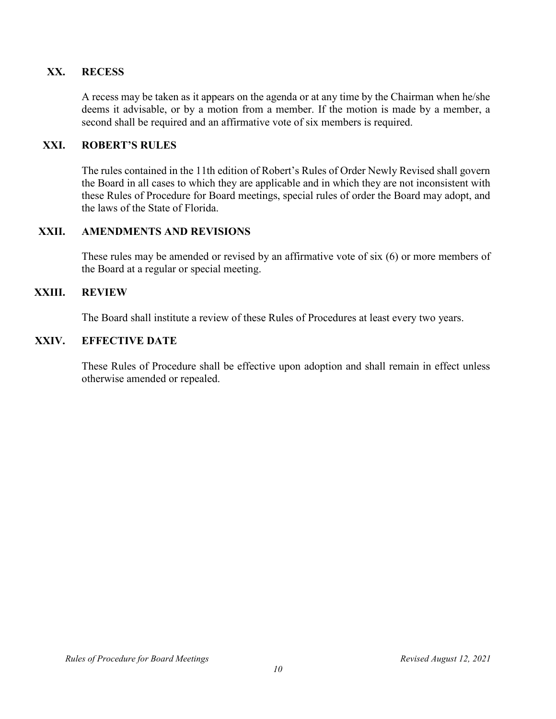#### **XX. RECESS**

<span id="page-9-0"></span>A recess may be taken as it appears on the agenda or at any time by the Chairman when he/she deems it advisable, or by a motion from a member. If the motion is made by a member, a second shall be required and an affirmative vote of six members is required.

#### **XXI. ROBERT'S RULES**

<span id="page-9-1"></span>The rules contained in the 11th edition of Robert's Rules of Order Newly Revised shall govern the Board in all cases to which they are applicable and in which they are not inconsistent with these Rules of Procedure for Board meetings, special rules of order the Board may adopt, and the laws of the State of Florida.

#### **XXII. AMENDMENTS AND REVISIONS**

<span id="page-9-2"></span>These rules may be amended or revised by an affirmative vote of six (6) or more members of the Board at a regular or special meeting.

#### **XXIII. REVIEW**

<span id="page-9-3"></span>The Board shall institute a review of these Rules of Procedures at least every two years.

#### **XXIV. EFFECTIVE DATE**

<span id="page-9-4"></span>These Rules of Procedure shall be effective upon adoption and shall remain in effect unless otherwise amended or repealed.